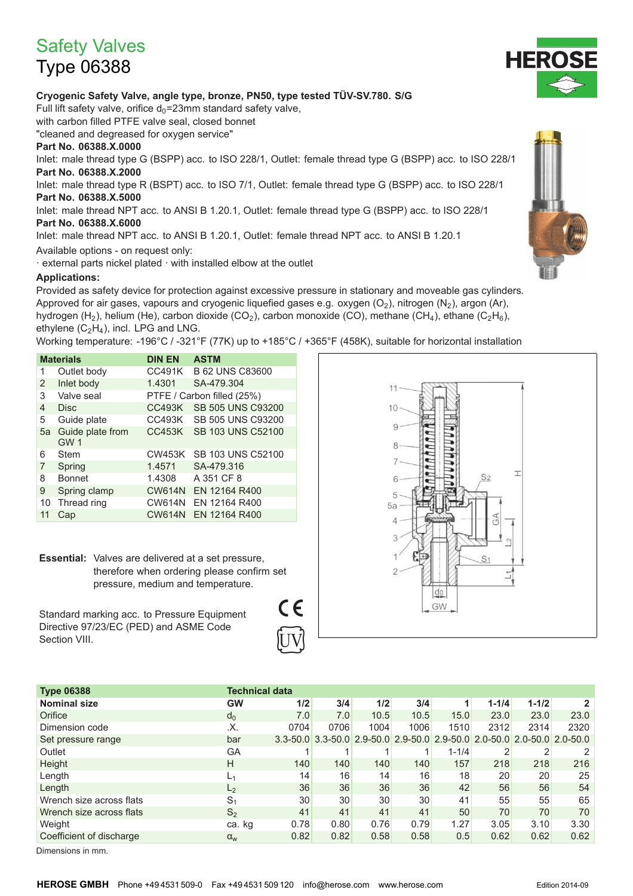# **Safety Valves**

## **Type 06388**

#### Cryogenic Safety Valve, angle type, bronze, PN50, type tested TÜV-SV.780. S/G

Full lift safety valve, orifice  $d_0 = 23$ mm standard safety valve,

with carbon filled PTFE valve seal, closed bonnet

"cleaned and degreased for oxygen service"

### Part No. 06388.X.0000

Inlet: male thread type G (BSPP) acc. to ISO 228/1, Outlet: female thread type G (BSPP) acc. to ISO 228/1 Part No. 06388.X.2000

Inlet: male thread type R (BSPT) acc. to ISO 7/1, Outlet: female thread type G (BSPP) acc. to ISO 228/1 Part No. 06388.X.5000

Inlet: male thread NPT acc. to ANSI B 1.20.1, Outlet: female thread type G (BSPP) acc. to ISO 228/1 Part No. 06388.X.6000

Inlet: male thread NPT acc. to ANSI B 1.20.1, Outlet: female thread NPT acc. to ANSI B 1.20.1

Available options - on request only:

· external parts nickel plated · with installed elbow at the outlet

#### **Applications:**

Provided as safety device for protection against excessive pressure in stationary and moveable gas cylinders. Approved for air gases, vapours and cryogenic liquefied gases e.g. oxygen  $(O_2)$ , nitrogen  $(N_2)$ , argon (Ar), hydrogen (H<sub>2</sub>), helium (He), carbon dioxide (CO<sub>2</sub>), carbon monoxide (CO), methane (CH<sub>4</sub>), ethane (C<sub>2</sub>H<sub>6</sub>), ethylene  $(C_2H_4)$ , incl. LPG and LNG.

Working temperature: -196°C / -321°F (77K) up to +185°C / +365°F (458K), suitable for horizontal installation

| <b>Materials</b> |                                     | <b>DIN EN</b> | <b>ASTM</b>                |  |  |  |  |
|------------------|-------------------------------------|---------------|----------------------------|--|--|--|--|
| 1                | Outlet body                         | <b>CC491K</b> | <b>B 62 UNS C83600</b>     |  |  |  |  |
| 2                | Inlet body                          | 1.4301        | SA-479.304                 |  |  |  |  |
| 3                | Valve seal                          |               | PTFE / Carbon filled (25%) |  |  |  |  |
| 4                | <b>Disc</b>                         | <b>CC493K</b> | <b>SB 505 UNS C93200</b>   |  |  |  |  |
| 5                | Guide plate                         | <b>CC493K</b> | SB 505 UNS C93200          |  |  |  |  |
| 5a               | Guide plate from<br>GW <sub>1</sub> | <b>CC453K</b> | SB 103 UNS C52100          |  |  |  |  |
| 6                | Stem                                | <b>CW453K</b> | SB 103 UNS C52100          |  |  |  |  |
| 7                | Spring                              | 1.4571        | SA-479.316                 |  |  |  |  |
| 8                | <b>Bonnet</b>                       | 1.4308        | A 351 CF 8                 |  |  |  |  |
| 9                | Spring clamp                        | <b>CW614N</b> | EN 12164 R400              |  |  |  |  |
| 10               | Thread ring                         | <b>CW614N</b> | EN 12164 R400              |  |  |  |  |
| 11               | Cap                                 | <b>CW614N</b> | EN 12164 R400              |  |  |  |  |

Essential: Valves are delivered at a set pressure. therefore when ordering please confirm set pressure, medium and temperature.

Standard marking acc. to Pressure Equipment Directive 97/23/EC (PED) and ASME Code Section VIII.

 $\epsilon$ 



| <b>Type 06388</b>        | <b>Technical data</b> |                 |      |      |      |           |           |                                                                         |                |
|--------------------------|-----------------------|-----------------|------|------|------|-----------|-----------|-------------------------------------------------------------------------|----------------|
| <b>Nominal size</b>      | <b>GW</b>             | 1/2             | 3/4  | 1/2  | 3/4  |           | $1 - 1/4$ | $1 - 1/2$                                                               | $\overline{2}$ |
| Orifice                  | $d_0$                 | 7.0             | 7.0  | 10.5 | 10.5 | 15.0      | 23.0      | 23.0                                                                    | 23.0           |
| Dimension code           | .Х.                   | 0704            | 0706 | 1004 | 1006 | 1510      | 2312      | 2314                                                                    | 2320           |
| Set pressure range       | bar                   |                 |      |      |      |           |           | 3.3-50.0 3.3-50.0 2.9-50.0 2.9-50.0 2.9-50.0 2.0-50.0 2.0-50.0 2.0-50.0 |                |
| Outlet                   | GА                    |                 |      |      |      | $1 - 1/4$ |           |                                                                         | 2              |
| Height                   | H                     | 140             | 140  | 140  | 140  | 157       | 218       | 218                                                                     | 216            |
| Length                   | L <sub>1</sub>        | 14 <sub>1</sub> | 16   | 14   | 16   | 18        | 20        | 20 <sub>1</sub>                                                         | 25             |
| Length                   | L <sub>2</sub>        | 36              | 36   | 36   | 36   | 42        | 56        | 56                                                                      | 54             |
| Wrench size across flats | S <sub>1</sub>        | 30              | 30   | 30   | 30   | 41        | 55        | 55                                                                      | 65             |
| Wrench size across flats | S <sub>2</sub>        | 41              | 41   | 41   | 41   | 50        | 70        | 70                                                                      | 70             |
| Weight                   | ca. kg                | 0.78            | 0.80 | 0.76 | 0.79 | 1.27      | 3.05      | 3.10                                                                    | 3.30           |
| Coefficient of discharge | $\alpha_{w}$          | 0.82            | 0.82 | 0.58 | 0.58 | 0.5       | 0.62      | 0.62                                                                    | 0.62           |
|                          |                       |                 |      |      |      |           |           |                                                                         |                |

Dimensions in mm.